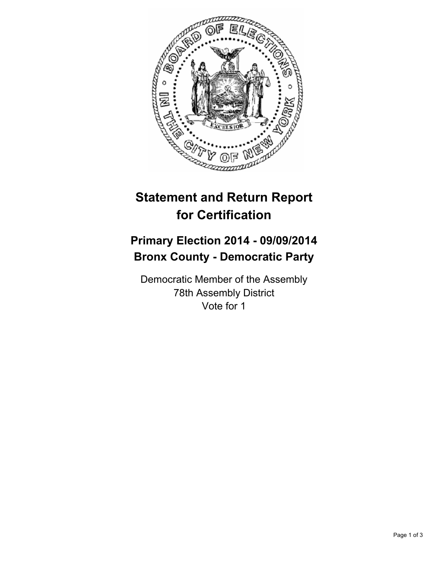

## **Statement and Return Report for Certification**

## **Primary Election 2014 - 09/09/2014 Bronx County - Democratic Party**

Democratic Member of the Assembly 78th Assembly District Vote for 1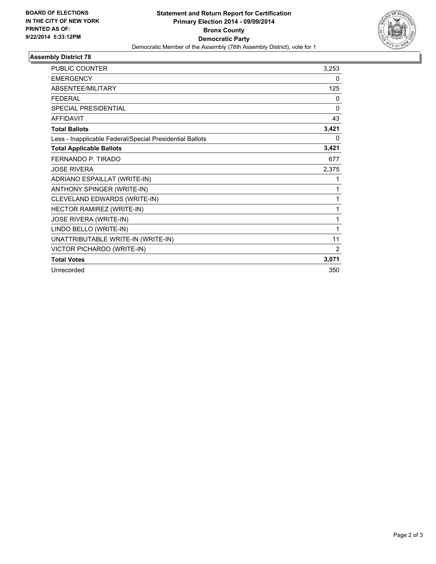

## **Assembly District 78**

| <b>PUBLIC COUNTER</b>                                    | 3,253        |
|----------------------------------------------------------|--------------|
| <b>EMERGENCY</b>                                         | 0            |
| ABSENTEE/MILITARY                                        | 125          |
| <b>FEDERAL</b>                                           | 0            |
| <b>SPECIAL PRESIDENTIAL</b>                              | $\mathbf{0}$ |
| <b>AFFIDAVIT</b>                                         | 43           |
| <b>Total Ballots</b>                                     | 3,421        |
| Less - Inapplicable Federal/Special Presidential Ballots | 0            |
| <b>Total Applicable Ballots</b>                          | 3,421        |
| FERNANDO P. TIRADO                                       | 677          |
| <b>JOSE RIVERA</b>                                       | 2,375        |
| ADRIANO ESPAILLAT (WRITE-IN)                             | 1            |
| ANTHONY SPINGER (WRITE-IN)                               | 1            |
| CLEVELAND EDWARDS (WRITE-IN)                             | 1            |
| HECTOR RAMIREZ (WRITE-IN)                                | 1            |
| JOSE RIVERA (WRITE-IN)                                   | 1            |
| LINDO BELLO (WRITE-IN)                                   | 1            |
| UNATTRIBUTABLE WRITE-IN (WRITE-IN)                       | 11           |
| VICTOR PICHARDO (WRITE-IN)                               | 2            |
| <b>Total Votes</b>                                       | 3,071        |
| Unrecorded                                               | 350          |